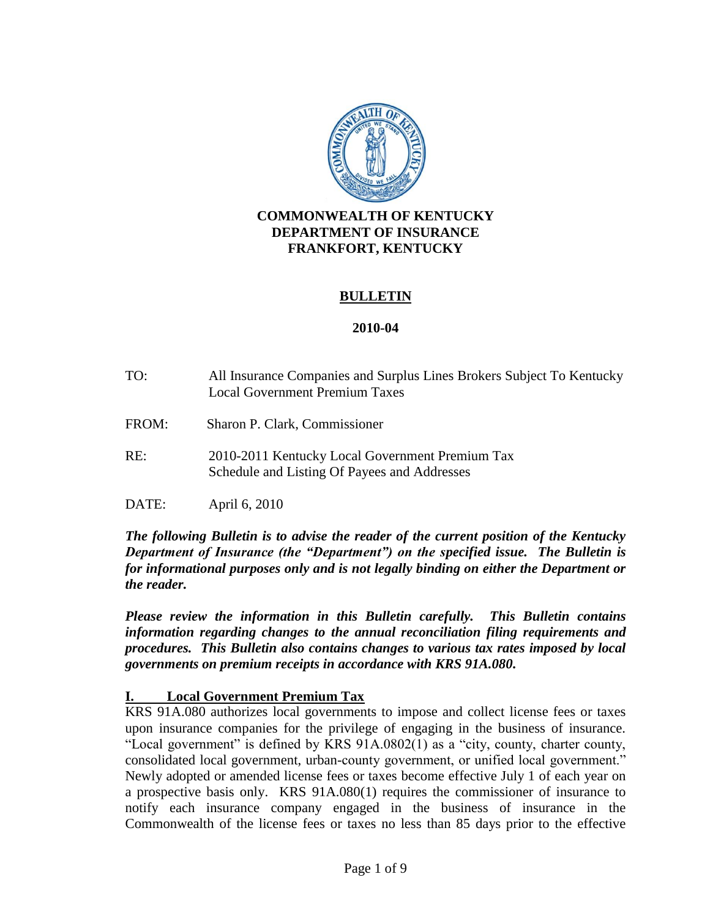

## **COMMONWEALTH OF KENTUCKY DEPARTMENT OF INSURANCE FRANKFORT, KENTUCKY**

#### **BULLETIN**

#### **2010-04**

- TO: All Insurance Companies and Surplus Lines Brokers Subject To Kentucky Local Government Premium Taxes
- FROM: Sharon P. Clark, Commissioner
- RE: 2010-2011 Kentucky Local Government Premium Tax Schedule and Listing Of Payees and Addresses
- DATE: April 6, 2010

*The following Bulletin is to advise the reader of the current position of the Kentucky Department of Insurance (the "Department") on the specified issue. The Bulletin is for informational purposes only and is not legally binding on either the Department or the reader.*

*Please review the information in this Bulletin carefully. This Bulletin contains information regarding changes to the annual reconciliation filing requirements and procedures. This Bulletin also contains changes to various tax rates imposed by local governments on premium receipts in accordance with KRS 91A.080.* 

#### **I. Local Government Premium Tax**

KRS 91A.080 authorizes local governments to impose and collect license fees or taxes upon insurance companies for the privilege of engaging in the business of insurance. "Local government" is defined by KRS 91A.0802(1) as a "city, county, charter county, consolidated local government, urban-county government, or unified local government." Newly adopted or amended license fees or taxes become effective July 1 of each year on a prospective basis only. KRS 91A.080(1) requires the commissioner of insurance to notify each insurance company engaged in the business of insurance in the Commonwealth of the license fees or taxes no less than 85 days prior to the effective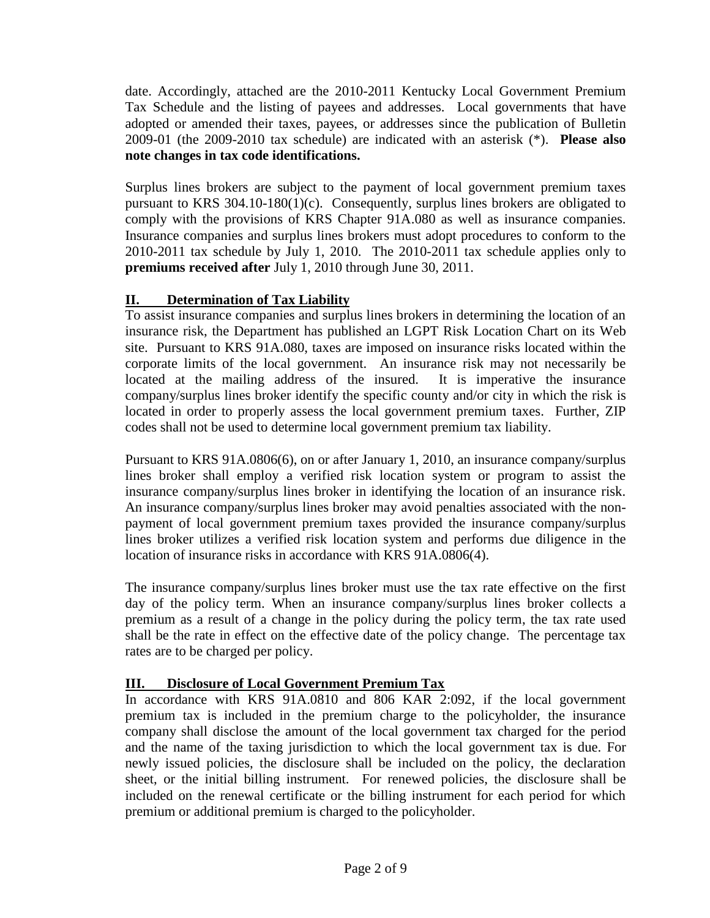date. Accordingly, attached are the 2010-2011 Kentucky Local Government Premium Tax Schedule and the listing of payees and addresses. Local governments that have adopted or amended their taxes, payees, or addresses since the publication of Bulletin 2009-01 (the 2009-2010 tax schedule) are indicated with an asterisk (\*). **Please also note changes in tax code identifications.** 

Surplus lines brokers are subject to the payment of local government premium taxes pursuant to KRS 304.10-180(1)(c). Consequently, surplus lines brokers are obligated to comply with the provisions of KRS Chapter 91A.080 as well as insurance companies. Insurance companies and surplus lines brokers must adopt procedures to conform to the 2010-2011 tax schedule by July 1, 2010. The 2010-2011 tax schedule applies only to **premiums received after** July 1, 2010 through June 30, 2011.

# **II. Determination of Tax Liability**

To assist insurance companies and surplus lines brokers in determining the location of an insurance risk, the Department has published an LGPT Risk Location Chart on its Web site. Pursuant to KRS 91A.080, taxes are imposed on insurance risks located within the corporate limits of the local government. An insurance risk may not necessarily be located at the mailing address of the insured. It is imperative the insurance company/surplus lines broker identify the specific county and/or city in which the risk is located in order to properly assess the local government premium taxes. Further, ZIP codes shall not be used to determine local government premium tax liability.

Pursuant to KRS 91A.0806(6), on or after January 1, 2010, an insurance company/surplus lines broker shall employ a verified risk location system or program to assist the insurance company/surplus lines broker in identifying the location of an insurance risk. An insurance company/surplus lines broker may avoid penalties associated with the nonpayment of local government premium taxes provided the insurance company/surplus lines broker utilizes a verified risk location system and performs due diligence in the location of insurance risks in accordance with KRS 91A.0806(4).

The insurance company/surplus lines broker must use the tax rate effective on the first day of the policy term. When an insurance company/surplus lines broker collects a premium as a result of a change in the policy during the policy term, the tax rate used shall be the rate in effect on the effective date of the policy change. The percentage tax rates are to be charged per policy.

# **III. Disclosure of Local Government Premium Tax**

In accordance with KRS 91A.0810 and 806 KAR 2:092, if the local government premium tax is included in the premium charge to the policyholder, the insurance company shall disclose the amount of the local government tax charged for the period and the name of the taxing jurisdiction to which the local government tax is due. For newly issued policies, the disclosure shall be included on the policy, the declaration sheet, or the initial billing instrument. For renewed policies, the disclosure shall be included on the renewal certificate or the billing instrument for each period for which premium or additional premium is charged to the policyholder.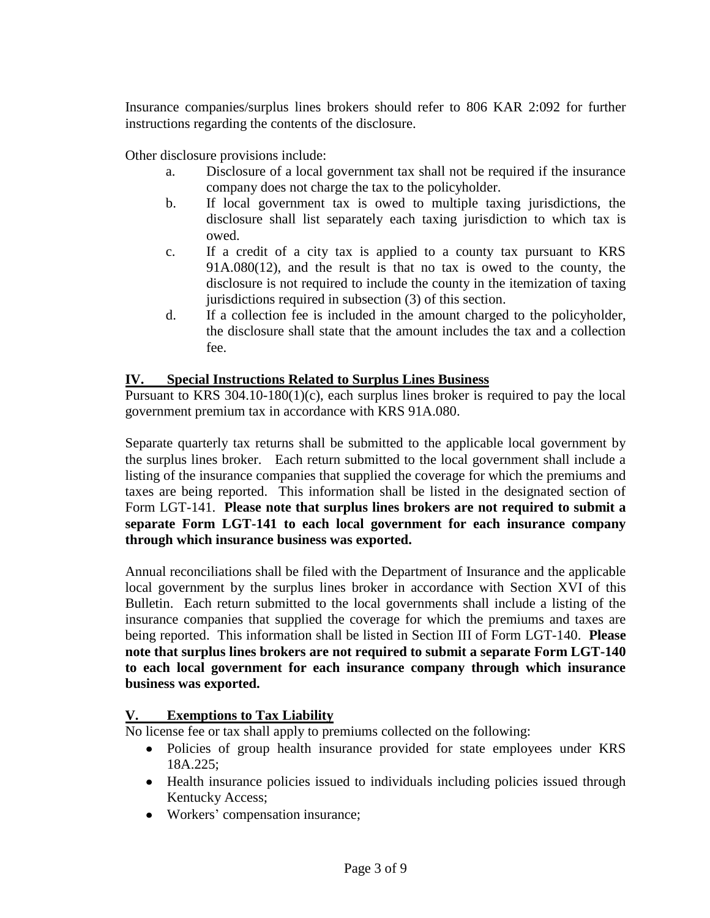Insurance companies/surplus lines brokers should refer to 806 KAR 2:092 for further instructions regarding the contents of the disclosure.

Other disclosure provisions include:

- a. Disclosure of a local government tax shall not be required if the insurance company does not charge the tax to the policyholder.
- b. If local government tax is owed to multiple taxing jurisdictions, the disclosure shall list separately each taxing jurisdiction to which tax is owed.
- c. If a credit of a city tax is applied to a county tax pursuant to KRS 91A.080(12), and the result is that no tax is owed to the county, the disclosure is not required to include the county in the itemization of taxing jurisdictions required in subsection (3) of this section.
- d. If a collection fee is included in the amount charged to the policyholder, the disclosure shall state that the amount includes the tax and a collection fee.

#### **IV. Special Instructions Related to Surplus Lines Business**

Pursuant to KRS 304.10-180(1)(c), each surplus lines broker is required to pay the local government premium tax in accordance with KRS 91A.080.

Separate quarterly tax returns shall be submitted to the applicable local government by the surplus lines broker. Each return submitted to the local government shall include a listing of the insurance companies that supplied the coverage for which the premiums and taxes are being reported. This information shall be listed in the designated section of Form LGT-141. **Please note that surplus lines brokers are not required to submit a separate Form LGT-141 to each local government for each insurance company through which insurance business was exported.**

Annual reconciliations shall be filed with the Department of Insurance and the applicable local government by the surplus lines broker in accordance with Section XVI of this Bulletin. Each return submitted to the local governments shall include a listing of the insurance companies that supplied the coverage for which the premiums and taxes are being reported. This information shall be listed in Section III of Form LGT-140. **Please note that surplus lines brokers are not required to submit a separate Form LGT-140 to each local government for each insurance company through which insurance business was exported.**

#### **V. Exemptions to Tax Liability**

No license fee or tax shall apply to premiums collected on the following:

- Policies of group health insurance provided for state employees under KRS 18A.225;
- Health insurance policies issued to individuals including policies issued through Kentucky Access;
- Workers' compensation insurance;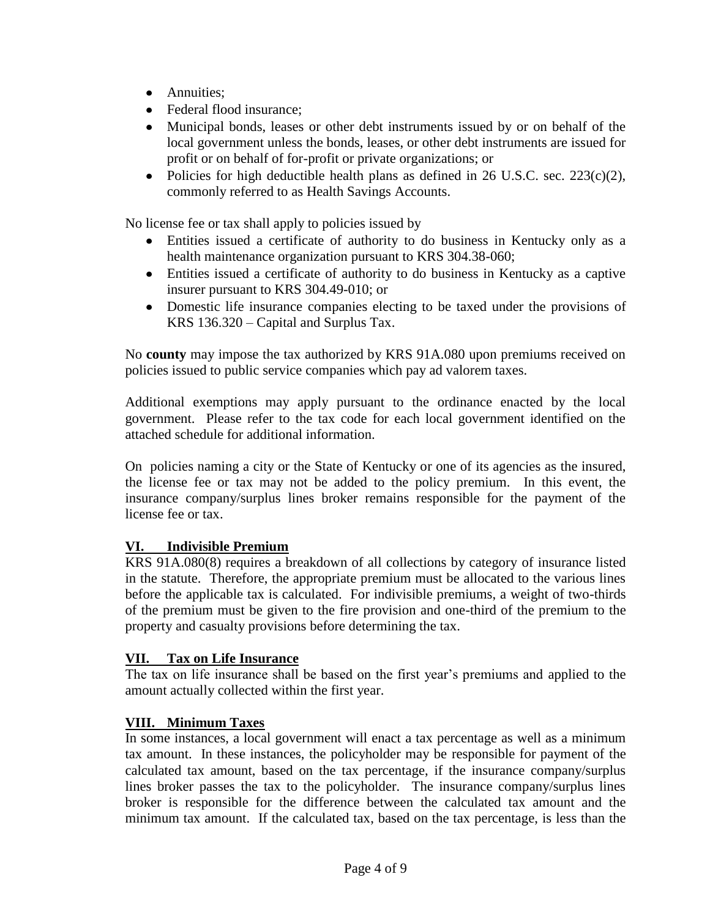- Annuities;
- Federal flood insurance;
- Municipal bonds, leases or other debt instruments issued by or on behalf of the local government unless the bonds, leases, or other debt instruments are issued for profit or on behalf of for-profit or private organizations; or
- Policies for high deductible health plans as defined in 26 U.S.C. sec.  $223(c)(2)$ , commonly referred to as Health Savings Accounts.

No license fee or tax shall apply to policies issued by

- Entities issued a certificate of authority to do business in Kentucky only as a  $\bullet$ health maintenance organization pursuant to KRS 304.38-060;
- Entities issued a certificate of authority to do business in Kentucky as a captive insurer pursuant to KRS 304.49-010; or
- Domestic life insurance companies electing to be taxed under the provisions of KRS 136.320 – Capital and Surplus Tax.

No **county** may impose the tax authorized by KRS 91A.080 upon premiums received on policies issued to public service companies which pay ad valorem taxes.

Additional exemptions may apply pursuant to the ordinance enacted by the local government. Please refer to the tax code for each local government identified on the attached schedule for additional information.

On policies naming a city or the State of Kentucky or one of its agencies as the insured, the license fee or tax may not be added to the policy premium. In this event, the insurance company/surplus lines broker remains responsible for the payment of the license fee or tax.

# **VI. Indivisible Premium**

KRS 91A.080(8) requires a breakdown of all collections by category of insurance listed in the statute. Therefore, the appropriate premium must be allocated to the various lines before the applicable tax is calculated. For indivisible premiums, a weight of two-thirds of the premium must be given to the fire provision and one-third of the premium to the property and casualty provisions before determining the tax.

### **VII. Tax on Life Insurance**

The tax on life insurance shall be based on the first year's premiums and applied to the amount actually collected within the first year.

### **VIII. Minimum Taxes**

In some instances, a local government will enact a tax percentage as well as a minimum tax amount. In these instances, the policyholder may be responsible for payment of the calculated tax amount, based on the tax percentage, if the insurance company/surplus lines broker passes the tax to the policyholder. The insurance company/surplus lines broker is responsible for the difference between the calculated tax amount and the minimum tax amount. If the calculated tax, based on the tax percentage, is less than the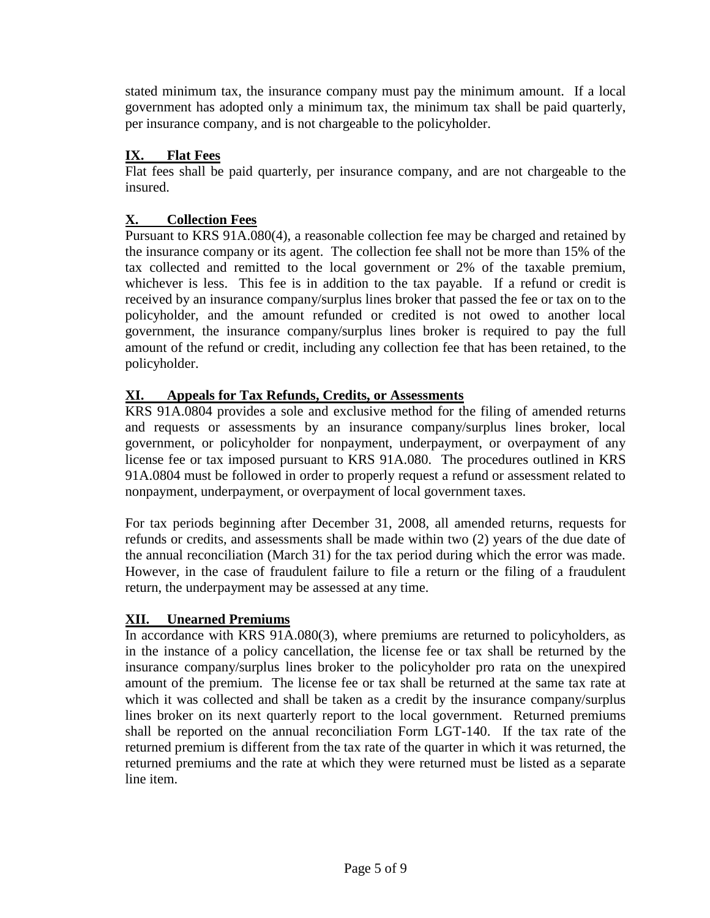stated minimum tax, the insurance company must pay the minimum amount. If a local government has adopted only a minimum tax, the minimum tax shall be paid quarterly, per insurance company, and is not chargeable to the policyholder.

# **IX. Flat Fees**

Flat fees shall be paid quarterly, per insurance company, and are not chargeable to the insured.

# **X. Collection Fees**

Pursuant to KRS 91A.080(4), a reasonable collection fee may be charged and retained by the insurance company or its agent. The collection fee shall not be more than 15% of the tax collected and remitted to the local government or 2% of the taxable premium, whichever is less. This fee is in addition to the tax payable. If a refund or credit is received by an insurance company/surplus lines broker that passed the fee or tax on to the policyholder, and the amount refunded or credited is not owed to another local government, the insurance company/surplus lines broker is required to pay the full amount of the refund or credit, including any collection fee that has been retained, to the policyholder.

# **XI. Appeals for Tax Refunds, Credits, or Assessments**

KRS 91A.0804 provides a sole and exclusive method for the filing of amended returns and requests or assessments by an insurance company/surplus lines broker, local government, or policyholder for nonpayment, underpayment, or overpayment of any license fee or tax imposed pursuant to KRS 91A.080. The procedures outlined in KRS 91A.0804 must be followed in order to properly request a refund or assessment related to nonpayment, underpayment, or overpayment of local government taxes.

For tax periods beginning after December 31, 2008, all amended returns, requests for refunds or credits, and assessments shall be made within two (2) years of the due date of the annual reconciliation (March 31) for the tax period during which the error was made. However, in the case of fraudulent failure to file a return or the filing of a fraudulent return, the underpayment may be assessed at any time.

### **XII. Unearned Premiums**

In accordance with KRS 91A.080(3), where premiums are returned to policyholders, as in the instance of a policy cancellation, the license fee or tax shall be returned by the insurance company/surplus lines broker to the policyholder pro rata on the unexpired amount of the premium. The license fee or tax shall be returned at the same tax rate at which it was collected and shall be taken as a credit by the insurance company/surplus lines broker on its next quarterly report to the local government. Returned premiums shall be reported on the annual reconciliation Form LGT-140. If the tax rate of the returned premium is different from the tax rate of the quarter in which it was returned, the returned premiums and the rate at which they were returned must be listed as a separate line item.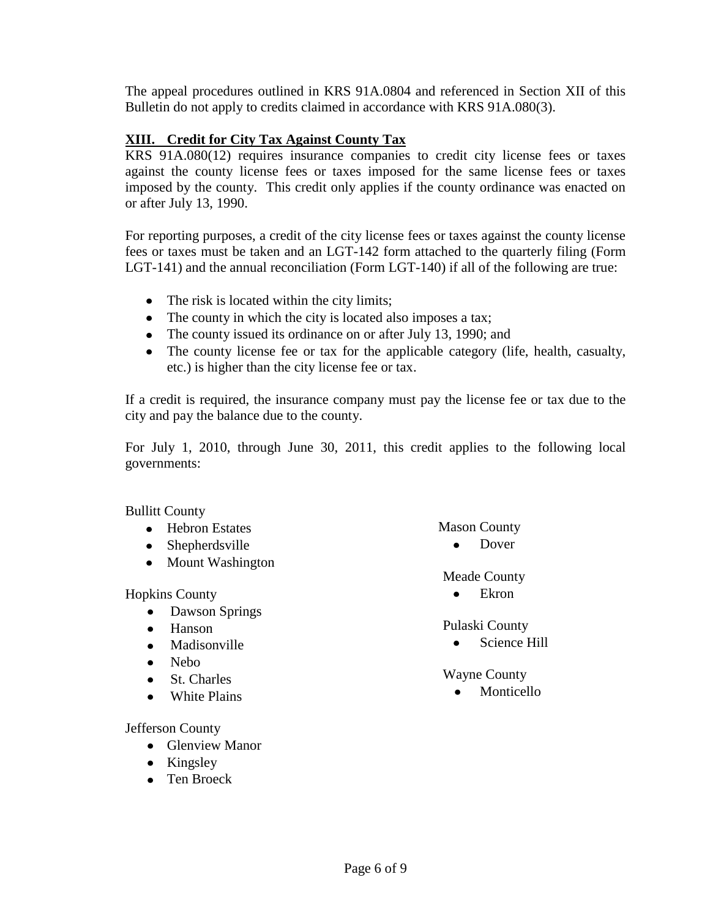The appeal procedures outlined in KRS 91A.0804 and referenced in Section XII of this Bulletin do not apply to credits claimed in accordance with KRS 91A.080(3).

#### **XIII. Credit for City Tax Against County Tax**

KRS 91A.080(12) requires insurance companies to credit city license fees or taxes against the county license fees or taxes imposed for the same license fees or taxes imposed by the county. This credit only applies if the county ordinance was enacted on or after July 13, 1990.

For reporting purposes, a credit of the city license fees or taxes against the county license fees or taxes must be taken and an LGT-142 form attached to the quarterly filing (Form LGT-141) and the annual reconciliation (Form LGT-140) if all of the following are true:

- The risk is located within the city limits;
- The county in which the city is located also imposes a tax;
- The county issued its ordinance on or after July 13, 1990; and
- The county license fee or tax for the applicable category (life, health, casualty, etc.) is higher than the city license fee or tax.

If a credit is required, the insurance company must pay the license fee or tax due to the city and pay the balance due to the county.

For July 1, 2010, through June 30, 2011, this credit applies to the following local governments:

Bullitt County

- Hebron Estates
- Shepherdsville
- Mount Washington

Hopkins County

- Dawson Springs
- Hanson
- Madisonville  $\bullet$
- Nebo  $\bullet$
- St. Charles
- White Plains

Jefferson County

- Glenview Manor
- $\bullet$  Kingsley
- Ten Broeck

Mason County

 $\bullet$ Dover

Meade County

Ekron  $\bullet$ 

Pulaski County

 $\bullet$ Science Hill

Wayne County

Monticello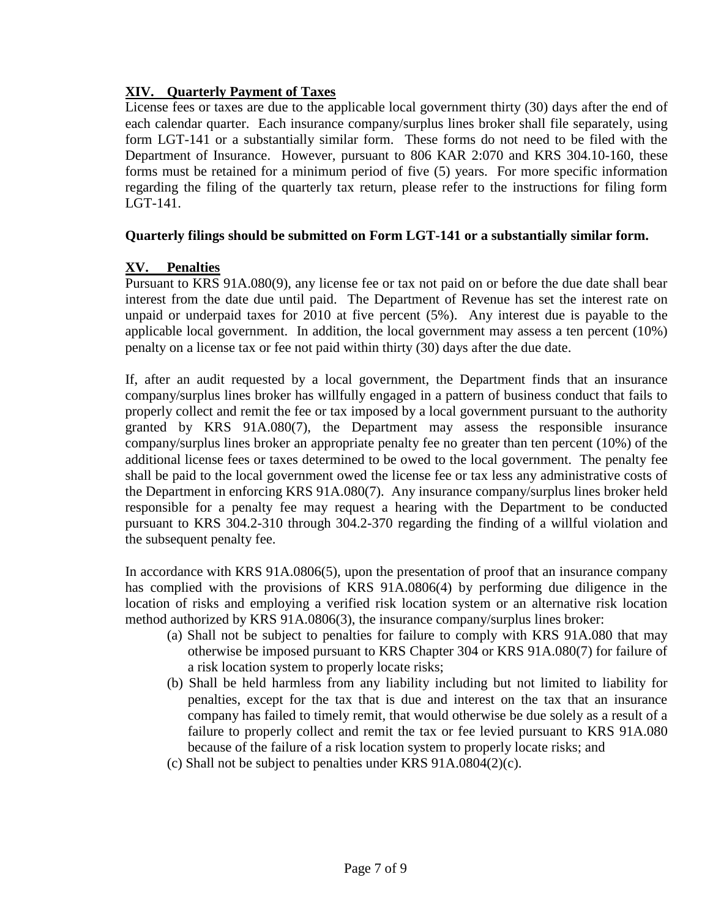## **XIV. Quarterly Payment of Taxes**

License fees or taxes are due to the applicable local government thirty (30) days after the end of each calendar quarter. Each insurance company/surplus lines broker shall file separately, using form LGT-141 or a substantially similar form. These forms do not need to be filed with the Department of Insurance. However, pursuant to 806 KAR 2:070 and KRS 304.10-160, these forms must be retained for a minimum period of five (5) years. For more specific information regarding the filing of the quarterly tax return, please refer to the instructions for filing form LGT-141.

### **Quarterly filings should be submitted on Form LGT-141 or a substantially similar form.**

# **XV. Penalties**

Pursuant to KRS 91A.080(9), any license fee or tax not paid on or before the due date shall bear interest from the date due until paid. The Department of Revenue has set the interest rate on unpaid or underpaid taxes for 2010 at five percent (5%). Any interest due is payable to the applicable local government. In addition, the local government may assess a ten percent (10%) penalty on a license tax or fee not paid within thirty (30) days after the due date.

If, after an audit requested by a local government, the Department finds that an insurance company/surplus lines broker has willfully engaged in a pattern of business conduct that fails to properly collect and remit the fee or tax imposed by a local government pursuant to the authority granted by KRS 91A.080(7), the Department may assess the responsible insurance company/surplus lines broker an appropriate penalty fee no greater than ten percent (10%) of the additional license fees or taxes determined to be owed to the local government. The penalty fee shall be paid to the local government owed the license fee or tax less any administrative costs of the Department in enforcing KRS 91A.080(7). Any insurance company/surplus lines broker held responsible for a penalty fee may request a hearing with the Department to be conducted pursuant to KRS 304.2-310 through 304.2-370 regarding the finding of a willful violation and the subsequent penalty fee.

In accordance with KRS 91A.0806(5), upon the presentation of proof that an insurance company has complied with the provisions of KRS 91A.0806(4) by performing due diligence in the location of risks and employing a verified risk location system or an alternative risk location method authorized by KRS 91A.0806(3), the insurance company/surplus lines broker:

- (a) Shall not be subject to penalties for failure to comply with KRS 91A.080 that may otherwise be imposed pursuant to KRS Chapter 304 or KRS 91A.080(7) for failure of a risk location system to properly locate risks;
- (b) Shall be held harmless from any liability including but not limited to liability for penalties, except for the tax that is due and interest on the tax that an insurance company has failed to timely remit, that would otherwise be due solely as a result of a failure to properly collect and remit the tax or fee levied pursuant to KRS 91A.080 because of the failure of a risk location system to properly locate risks; and
- (c) Shall not be subject to penalties under KRS 91A.0804(2)(c).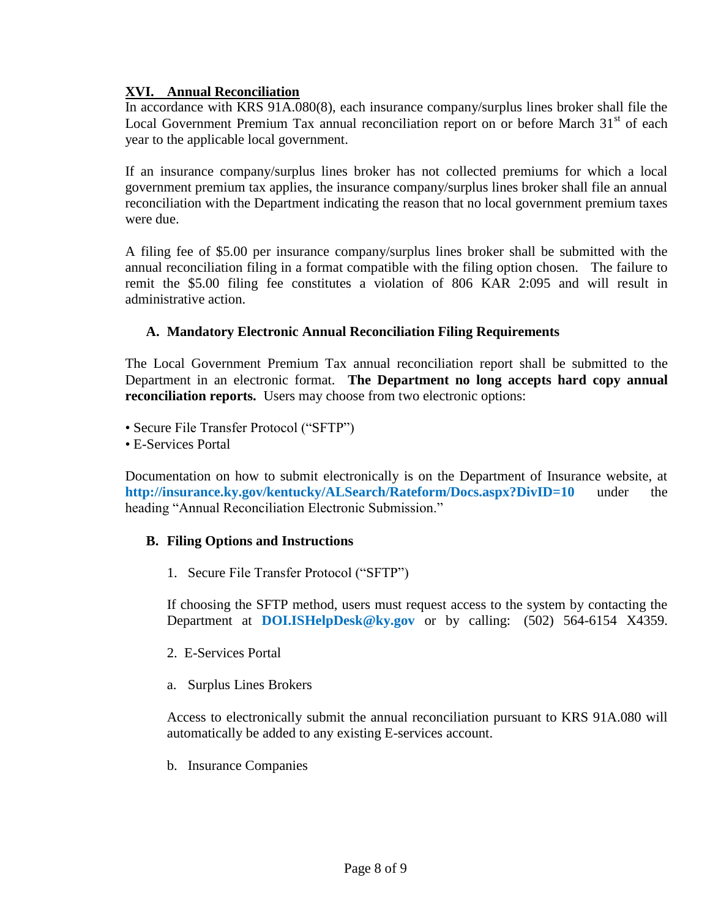#### **XVI. Annual Reconciliation**

In accordance with KRS 91A.080(8), each insurance company/surplus lines broker shall file the Local Government Premium Tax annual reconciliation report on or before March 31<sup>st</sup> of each year to the applicable local government.

If an insurance company/surplus lines broker has not collected premiums for which a local government premium tax applies, the insurance company/surplus lines broker shall file an annual reconciliation with the Department indicating the reason that no local government premium taxes were due.

A filing fee of \$5.00 per insurance company/surplus lines broker shall be submitted with the annual reconciliation filing in a format compatible with the filing option chosen. The failure to remit the \$5.00 filing fee constitutes a violation of 806 KAR 2:095 and will result in administrative action.

#### **A. Mandatory Electronic Annual Reconciliation Filing Requirements**

The Local Government Premium Tax annual reconciliation report shall be submitted to the Department in an electronic format. **The Department no long accepts hard copy annual reconciliation reports.** Users may choose from two electronic options:

- Secure File Transfer Protocol ("SFTP")
- E-Services Portal

Documentation on how to submit electronically is on the Department of Insurance website, at **<http://insurance.ky.gov/kentucky/ALSearch/Rateform/Docs.aspx?DivID=10>** under the heading "Annual Reconciliation Electronic Submission."

#### **B. Filing Options and Instructions**

1. Secure File Transfer Protocol ("SFTP")

If choosing the SFTP method, users must request access to the system by contacting the Department at **[DOI.ISHelpDesk@ky.gov](mailto:DOI.ISHelpDesk@ky.gov)** or by calling: (502) 564-6154 X4359.

- 2. E-Services Portal
- a. Surplus Lines Brokers

Access to electronically submit the annual reconciliation pursuant to KRS 91A.080 will automatically be added to any existing E-services account.

b. Insurance Companies